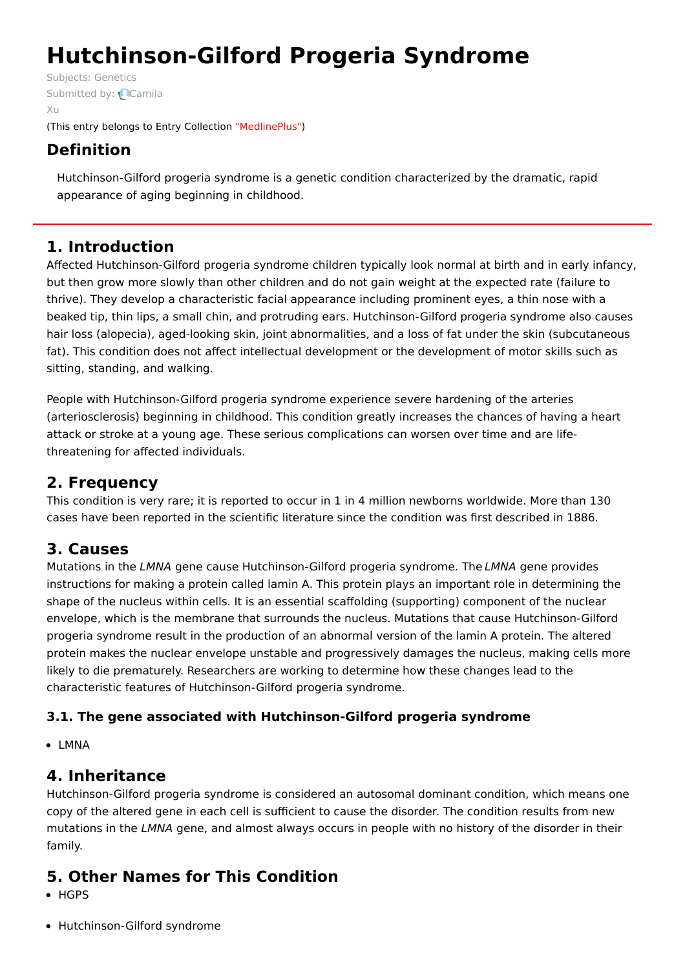# **Hutchinson-Gilford Progeria Syndrome**

Subjects: [Genetics](https://encyclopedia.pub/item/subject/56) [Submitted](https://sciprofiles.com/profile/892582) by: **Camila** Xu (This entry belongs to Entry Collection ["MedlinePlus"](https://encyclopedia.pub/entry/collection/24))

# **Definition**

Hutchinson-Gilford progeria syndrome is a genetic condition characterized by the dramatic, rapid appearance of aging beginning in childhood.

# **1. Introduction**

Affected Hutchinson-Gilford progeria syndrome children typically look normal at birth and in early infancy, but then grow more slowly than other children and do not gain weight at the expected rate (failure to thrive). They develop a characteristic facial appearance including prominent eyes, a thin nose with a beaked tip, thin lips, a small chin, and protruding ears. Hutchinson-Gilford progeria syndrome also causes hair loss (alopecia), aged-looking skin, joint abnormalities, and a loss of fat under the skin (subcutaneous fat). This condition does not affect intellectual development or the development of motor skills such as sitting, standing, and walking.

People with Hutchinson-Gilford progeria syndrome experience severe hardening of the arteries (arteriosclerosis) beginning in childhood. This condition greatly increases the chances of having a heart attack or stroke at a young age. These serious complications can worsen over time and are lifethreatening for affected individuals.

# **2. Frequency**

This condition is very rare; it is reported to occur in 1 in 4 million newborns worldwide. More than 130 cases have been reported in the scientific literature since the condition was first described in 1886.

## **3. Causes**

Mutations in the LMNA gene cause Hutchinson-Gilford progeria syndrome. The LMNA gene provides instructions for making a protein called lamin A. This protein plays an important role in determining the shape of the nucleus within cells. It is an essential scaffolding (supporting) component of the nuclear envelope, which is the membrane that surrounds the nucleus. Mutations that cause Hutchinson-Gilford progeria syndrome result in the production of an abnormal version of the lamin A protein. The altered protein makes the nuclear envelope unstable and progressively damages the nucleus, making cells more likely to die prematurely. Researchers are working to determine how these changes lead to the characteristic features of Hutchinson-Gilford progeria syndrome.

## **3.1. The gene associated with Hutchinson-Gilford progeria syndrome**

• LMNA

# **4. Inheritance**

Hutchinson-Gilford progeria syndrome is considered an autosomal dominant condition, which means one copy of the altered gene in each cell is sufficient to cause the disorder. The condition results from new mutations in the LMNA gene, and almost always occurs in people with no history of the disorder in their family.

# **5. Other Names for This Condition**

- HGPS
- Hutchinson-Gilford syndrome